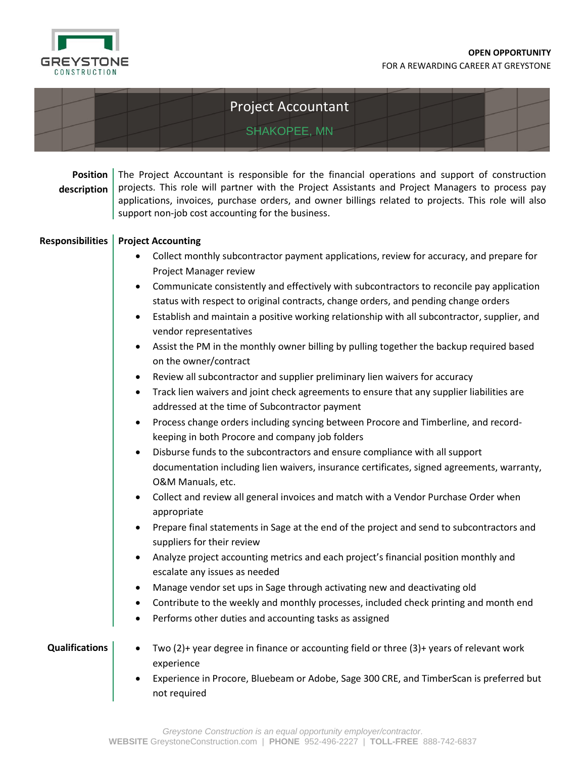

## Project Accountant

SHAKOPEE, MN

| <b>Position</b><br>description | The Project Accountant is responsible for the financial operations and support of construction<br>projects. This role will partner with the Project Assistants and Project Managers to process pay<br>applications, invoices, purchase orders, and owner billings related to projects. This role will also<br>support non-job cost accounting for the business.                                                                                                                                                                                                                                                                                                                                                                                                                                                                                                                                                                                                                                                                                                                                                                                                                                                                                                                                                                                                                                                                                                                                                                                                               |
|--------------------------------|-------------------------------------------------------------------------------------------------------------------------------------------------------------------------------------------------------------------------------------------------------------------------------------------------------------------------------------------------------------------------------------------------------------------------------------------------------------------------------------------------------------------------------------------------------------------------------------------------------------------------------------------------------------------------------------------------------------------------------------------------------------------------------------------------------------------------------------------------------------------------------------------------------------------------------------------------------------------------------------------------------------------------------------------------------------------------------------------------------------------------------------------------------------------------------------------------------------------------------------------------------------------------------------------------------------------------------------------------------------------------------------------------------------------------------------------------------------------------------------------------------------------------------------------------------------------------------|
| <b>Responsibilities</b>        | <b>Project Accounting</b>                                                                                                                                                                                                                                                                                                                                                                                                                                                                                                                                                                                                                                                                                                                                                                                                                                                                                                                                                                                                                                                                                                                                                                                                                                                                                                                                                                                                                                                                                                                                                     |
|                                | Collect monthly subcontractor payment applications, review for accuracy, and prepare for<br>Project Manager review<br>Communicate consistently and effectively with subcontractors to reconcile pay application<br>$\bullet$<br>status with respect to original contracts, change orders, and pending change orders<br>Establish and maintain a positive working relationship with all subcontractor, supplier, and<br>$\bullet$<br>vendor representatives<br>Assist the PM in the monthly owner billing by pulling together the backup required based<br>on the owner/contract<br>Review all subcontractor and supplier preliminary lien waivers for accuracy<br>$\bullet$<br>Track lien waivers and joint check agreements to ensure that any supplier liabilities are<br>$\bullet$<br>addressed at the time of Subcontractor payment<br>Process change orders including syncing between Procore and Timberline, and record-<br>$\bullet$<br>keeping in both Procore and company job folders<br>Disburse funds to the subcontractors and ensure compliance with all support<br>$\bullet$<br>documentation including lien waivers, insurance certificates, signed agreements, warranty,<br>O&M Manuals, etc.<br>Collect and review all general invoices and match with a Vendor Purchase Order when<br>$\bullet$<br>appropriate<br>Prepare final statements in Sage at the end of the project and send to subcontractors and<br>$\bullet$<br>suppliers for their review<br>Analyze project accounting metrics and each project's financial position monthly and<br>$\bullet$ |
|                                | escalate any issues as needed                                                                                                                                                                                                                                                                                                                                                                                                                                                                                                                                                                                                                                                                                                                                                                                                                                                                                                                                                                                                                                                                                                                                                                                                                                                                                                                                                                                                                                                                                                                                                 |
|                                | Manage vendor set ups in Sage through activating new and deactivating old<br>Contribute to the weekly and monthly processes, included check printing and month end                                                                                                                                                                                                                                                                                                                                                                                                                                                                                                                                                                                                                                                                                                                                                                                                                                                                                                                                                                                                                                                                                                                                                                                                                                                                                                                                                                                                            |
|                                | Performs other duties and accounting tasks as assigned                                                                                                                                                                                                                                                                                                                                                                                                                                                                                                                                                                                                                                                                                                                                                                                                                                                                                                                                                                                                                                                                                                                                                                                                                                                                                                                                                                                                                                                                                                                        |
| <b>Qualifications</b>          | Two (2)+ year degree in finance or accounting field or three (3)+ years of relevant work<br>experience<br>Experience in Procore, Bluebeam or Adobe, Sage 300 CRE, and TimberScan is preferred but                                                                                                                                                                                                                                                                                                                                                                                                                                                                                                                                                                                                                                                                                                                                                                                                                                                                                                                                                                                                                                                                                                                                                                                                                                                                                                                                                                             |
|                                | not required                                                                                                                                                                                                                                                                                                                                                                                                                                                                                                                                                                                                                                                                                                                                                                                                                                                                                                                                                                                                                                                                                                                                                                                                                                                                                                                                                                                                                                                                                                                                                                  |